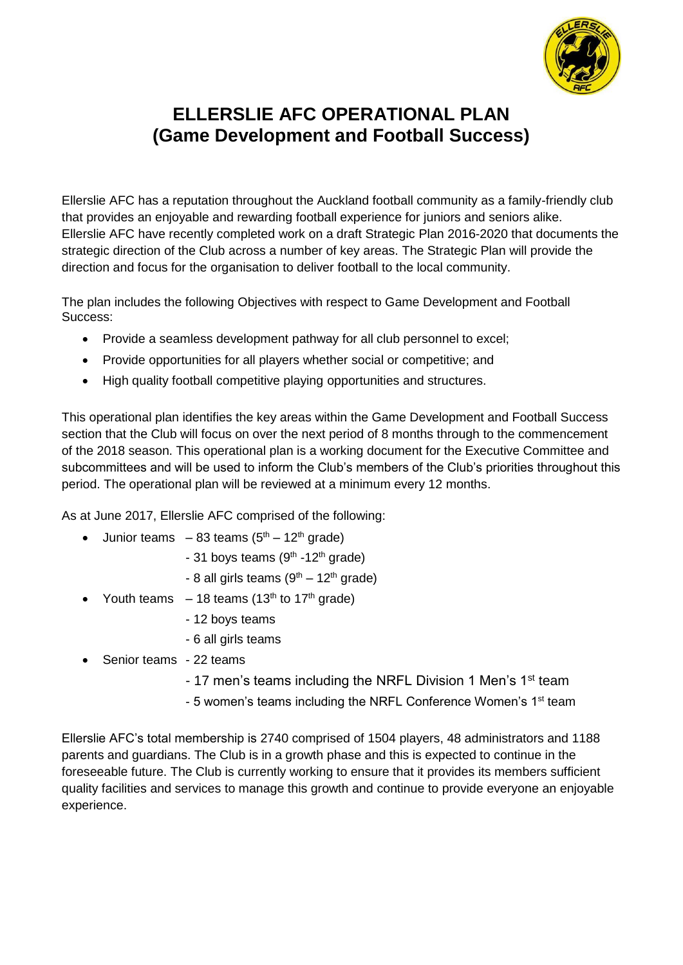

# **ELLERSLIE AFC OPERATIONAL PLAN (Game Development and Football Success)**

Ellerslie AFC has a reputation throughout the Auckland football community as a family-friendly club that provides an enjoyable and rewarding football experience for juniors and seniors alike. Ellerslie AFC have recently completed work on a draft Strategic Plan 2016-2020 that documents the strategic direction of the Club across a number of key areas. The Strategic Plan will provide the direction and focus for the organisation to deliver football to the local community.

The plan includes the following Objectives with respect to Game Development and Football Success:

- Provide a seamless development pathway for all club personnel to excel;
- Provide opportunities for all players whether social or competitive; and
- High quality football competitive playing opportunities and structures.

This operational plan identifies the key areas within the Game Development and Football Success section that the Club will focus on over the next period of 8 months through to the commencement of the 2018 season. This operational plan is a working document for the Executive Committee and subcommittees and will be used to inform the Club's members of the Club's priorities throughout this period. The operational plan will be reviewed at a minimum every 12 months.

As at June 2017, Ellerslie AFC comprised of the following:

- Junior teams  $-83$  teams  $(5<sup>th</sup> 12<sup>th</sup>$  grade)
	- 31 boys teams (9<sup>th</sup> -12<sup>th</sup> grade)
	- 8 all girls teams  $(9<sup>th</sup> 12<sup>th</sup>$  grade)
- Youth teams  $-18$  teams (13<sup>th</sup> to 17<sup>th</sup> grade)
	- 12 boys teams
	- 6 all girls teams
- Senior teams 22 teams
	- 17 men's teams including the NRFL Division 1 Men's 1<sup>st</sup> team
	- 5 women's teams including the NRFL Conference Women's 1<sup>st</sup> team

Ellerslie AFC's total membership is 2740 comprised of 1504 players, 48 administrators and 1188 parents and guardians. The Club is in a growth phase and this is expected to continue in the foreseeable future. The Club is currently working to ensure that it provides its members sufficient quality facilities and services to manage this growth and continue to provide everyone an enjoyable experience.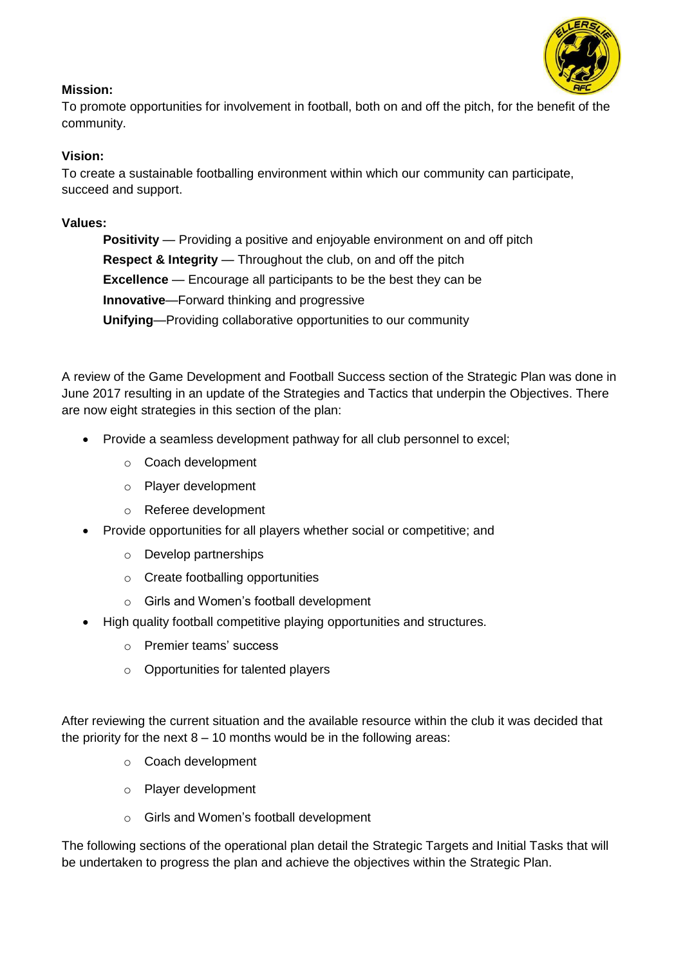### **Mission:**

To promote opportunities for involvement in football, both on and off the pitch, for the benefit of the community.

### **Vision:**

To create a sustainable footballing environment within which our community can participate, succeed and support.

#### **Values:**

**Positivity** — Providing a positive and enjoyable environment on and off pitch **Respect & Integrity** — Throughout the club, on and off the pitch **Excellence** — Encourage all participants to be the best they can be **Innovative**—Forward thinking and progressive **Unifying**—Providing collaborative opportunities to our community

A review of the Game Development and Football Success section of the Strategic Plan was done in June 2017 resulting in an update of the Strategies and Tactics that underpin the Objectives. There are now eight strategies in this section of the plan:

- Provide a seamless development pathway for all club personnel to excel;
	- o Coach development
	- o Player development
	- o Referee development
- Provide opportunities for all players whether social or competitive; and
	- o Develop partnerships
	- o Create footballing opportunities
	- o Girls and Women's football development
- High quality football competitive playing opportunities and structures.
	- o Premier teams' success
	- o Opportunities for talented players

After reviewing the current situation and the available resource within the club it was decided that the priority for the next  $8 - 10$  months would be in the following areas:

- o Coach development
- o Player development
- o Girls and Women's football development

The following sections of the operational plan detail the Strategic Targets and Initial Tasks that will be undertaken to progress the plan and achieve the objectives within the Strategic Plan.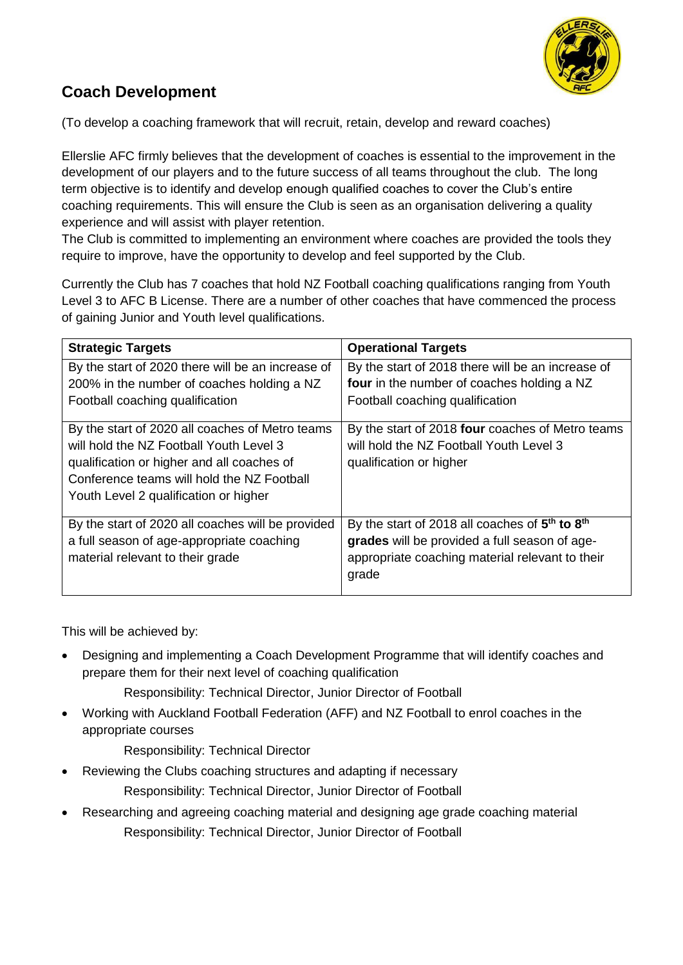

## **Coach Development**

(To develop a coaching framework that will recruit, retain, develop and reward coaches)

Ellerslie AFC firmly believes that the development of coaches is essential to the improvement in the development of our players and to the future success of all teams throughout the club. The long term objective is to identify and develop enough qualified coaches to cover the Club's entire coaching requirements. This will ensure the Club is seen as an organisation delivering a quality experience and will assist with player retention.

The Club is committed to implementing an environment where coaches are provided the tools they require to improve, have the opportunity to develop and feel supported by the Club.

Currently the Club has 7 coaches that hold NZ Football coaching qualifications ranging from Youth Level 3 to AFC B License. There are a number of other coaches that have commenced the process of gaining Junior and Youth level qualifications.

| <b>Strategic Targets</b>                          | <b>Operational Targets</b>                                             |
|---------------------------------------------------|------------------------------------------------------------------------|
| By the start of 2020 there will be an increase of | By the start of 2018 there will be an increase of                      |
| 200% in the number of coaches holding a NZ        | four in the number of coaches holding a NZ                             |
| Football coaching qualification                   | Football coaching qualification                                        |
| By the start of 2020 all coaches of Metro teams   | By the start of 2018 four coaches of Metro teams                       |
| will hold the NZ Football Youth Level 3           | will hold the NZ Football Youth Level 3                                |
| qualification or higher and all coaches of        | qualification or higher                                                |
| Conference teams will hold the NZ Football        |                                                                        |
| Youth Level 2 qualification or higher             |                                                                        |
| By the start of 2020 all coaches will be provided | By the start of 2018 all coaches of 5 <sup>th</sup> to 8 <sup>th</sup> |
| a full season of age-appropriate coaching         | grades will be provided a full season of age-                          |
| material relevant to their grade                  | appropriate coaching material relevant to their<br>grade               |

This will be achieved by:

 Designing and implementing a Coach Development Programme that will identify coaches and prepare them for their next level of coaching qualification

Responsibility: Technical Director, Junior Director of Football

 Working with Auckland Football Federation (AFF) and NZ Football to enrol coaches in the appropriate courses

Responsibility: Technical Director

- Reviewing the Clubs coaching structures and adapting if necessary Responsibility: Technical Director, Junior Director of Football
- Researching and agreeing coaching material and designing age grade coaching material Responsibility: Technical Director, Junior Director of Football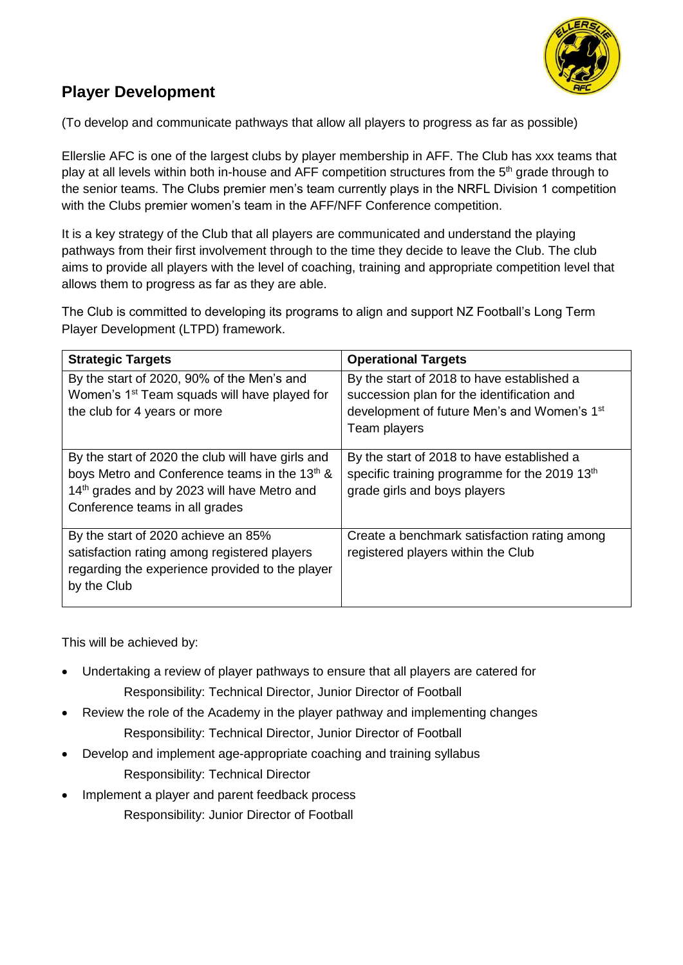

## **Player Development**

(To develop and communicate pathways that allow all players to progress as far as possible)

Ellerslie AFC is one of the largest clubs by player membership in AFF. The Club has xxx teams that play at all levels within both in-house and AFF competition structures from the 5<sup>th</sup> grade through to the senior teams. The Clubs premier men's team currently plays in the NRFL Division 1 competition with the Clubs premier women's team in the AFF/NFF Conference competition.

It is a key strategy of the Club that all players are communicated and understand the playing pathways from their first involvement through to the time they decide to leave the Club. The club aims to provide all players with the level of coaching, training and appropriate competition level that allows them to progress as far as they are able.

The Club is committed to developing its programs to align and support NZ Football's Long Term Player Development (LTPD) framework.

| <b>Strategic Targets</b>                                                                                                                                                                                    | <b>Operational Targets</b>                                                                                                                                          |
|-------------------------------------------------------------------------------------------------------------------------------------------------------------------------------------------------------------|---------------------------------------------------------------------------------------------------------------------------------------------------------------------|
| By the start of 2020, 90% of the Men's and<br>Women's 1 <sup>st</sup> Team squads will have played for<br>the club for 4 years or more                                                                      | By the start of 2018 to have established a<br>succession plan for the identification and<br>development of future Men's and Women's 1 <sup>st</sup><br>Team players |
| By the start of 2020 the club will have girls and<br>boys Metro and Conference teams in the 13 <sup>th</sup> &<br>14 <sup>th</sup> grades and by 2023 will have Metro and<br>Conference teams in all grades | By the start of 2018 to have established a<br>specific training programme for the 2019 13 <sup>th</sup><br>grade girls and boys players                             |
| By the start of 2020 achieve an 85%<br>satisfaction rating among registered players<br>regarding the experience provided to the player<br>by the Club                                                       | Create a benchmark satisfaction rating among<br>registered players within the Club                                                                                  |

This will be achieved by:

- Undertaking a review of player pathways to ensure that all players are catered for Responsibility: Technical Director, Junior Director of Football
- Review the role of the Academy in the player pathway and implementing changes Responsibility: Technical Director, Junior Director of Football
- Develop and implement age-appropriate coaching and training syllabus Responsibility: Technical Director
- Implement a player and parent feedback process Responsibility: Junior Director of Football